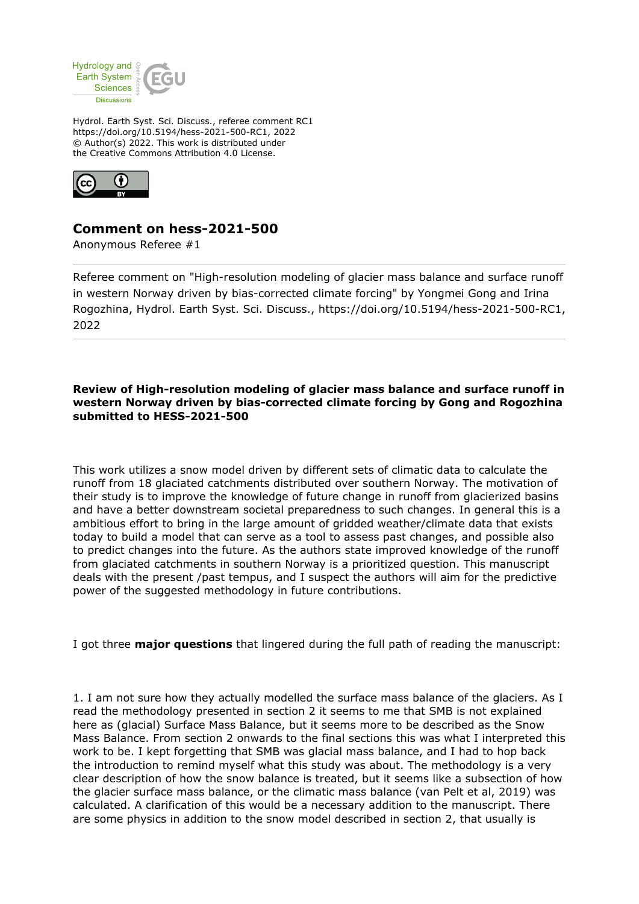

Hydrol. Earth Syst. Sci. Discuss., referee comment RC1 https://doi.org/10.5194/hess-2021-500-RC1, 2022 © Author(s) 2022. This work is distributed under the Creative Commons Attribution 4.0 License.



## **Comment on hess-2021-500**

Anonymous Referee #1

Referee comment on "High-resolution modeling of glacier mass balance and surface runoff in western Norway driven by bias-corrected climate forcing" by Yongmei Gong and Irina Rogozhina, Hydrol. Earth Syst. Sci. Discuss., https://doi.org/10.5194/hess-2021-500-RC1, 2022

## **Review of High-resolution modeling of glacier mass balance and surface runoff in western Norway driven by bias-corrected climate forcing by Gong and Rogozhina submitted to HESS-2021-500**

This work utilizes a snow model driven by different sets of climatic data to calculate the runoff from 18 glaciated catchments distributed over southern Norway. The motivation of their study is to improve the knowledge of future change in runoff from glacierized basins and have a better downstream societal preparedness to such changes. In general this is a ambitious effort to bring in the large amount of gridded weather/climate data that exists today to build a model that can serve as a tool to assess past changes, and possible also to predict changes into the future. As the authors state improved knowledge of the runoff from glaciated catchments in southern Norway is a prioritized question. This manuscript deals with the present /past tempus, and I suspect the authors will aim for the predictive power of the suggested methodology in future contributions.

I got three **major questions** that lingered during the full path of reading the manuscript:

1. I am not sure how they actually modelled the surface mass balance of the glaciers. As I read the methodology presented in section 2 it seems to me that SMB is not explained here as (glacial) Surface Mass Balance, but it seems more to be described as the Snow Mass Balance. From section 2 onwards to the final sections this was what I interpreted this work to be. I kept forgetting that SMB was glacial mass balance, and I had to hop back the introduction to remind myself what this study was about. The methodology is a very clear description of how the snow balance is treated, but it seems like a subsection of how the glacier surface mass balance, or the climatic mass balance (van Pelt et al, 2019) was calculated. A clarification of this would be a necessary addition to the manuscript. There are some physics in addition to the snow model described in section 2, that usually is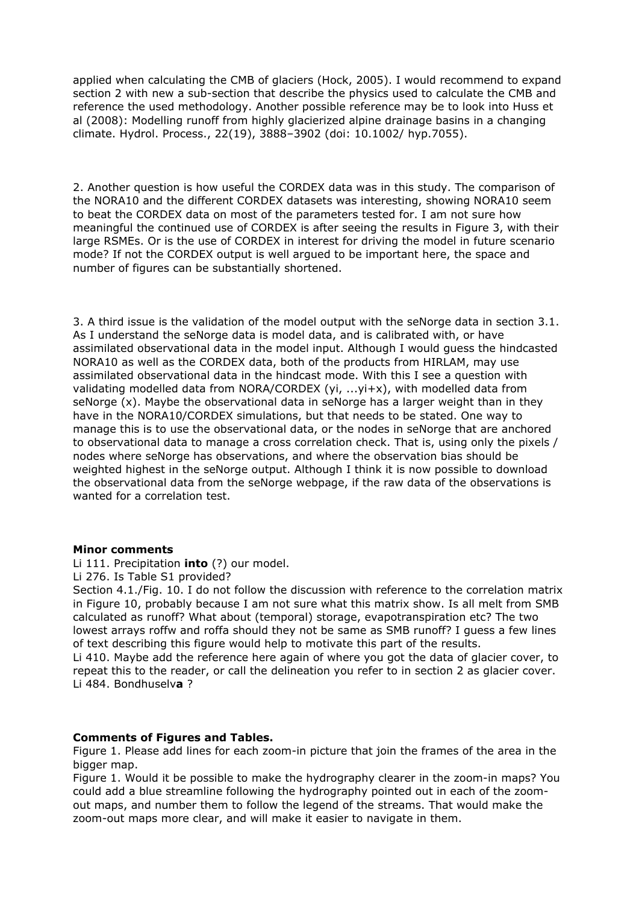applied when calculating the CMB of glaciers (Hock, 2005). I would recommend to expand section 2 with new a sub-section that describe the physics used to calculate the CMB and reference the used methodology. Another possible reference may be to look into Huss et al (2008): Modelling runoff from highly glacierized alpine drainage basins in a changing climate. Hydrol. Process., 22(19), 3888–3902 (doi: 10.1002/ hyp.7055).

2. Another question is how useful the CORDEX data was in this study. The comparison of the NORA10 and the different CORDEX datasets was interesting, showing NORA10 seem to beat the CORDEX data on most of the parameters tested for. I am not sure how meaningful the continued use of CORDEX is after seeing the results in Figure 3, with their large RSMEs. Or is the use of CORDEX in interest for driving the model in future scenario mode? If not the CORDEX output is well argued to be important here, the space and number of figures can be substantially shortened.

3. A third issue is the validation of the model output with the seNorge data in section 3.1. As I understand the seNorge data is model data, and is calibrated with, or have assimilated observational data in the model input. Although I would guess the hindcasted NORA10 as well as the CORDEX data, both of the products from HIRLAM, may use assimilated observational data in the hindcast mode. With this I see a question with validating modelled data from NORA/CORDEX (yi, ...yi+x), with modelled data from seNorge (x). Maybe the observational data in seNorge has a larger weight than in they have in the NORA10/CORDEX simulations, but that needs to be stated. One way to manage this is to use the observational data, or the nodes in seNorge that are anchored to observational data to manage a cross correlation check. That is, using only the pixels / nodes where seNorge has observations, and where the observation bias should be weighted highest in the seNorge output. Although I think it is now possible to download the observational data from the seNorge webpage, if the raw data of the observations is wanted for a correlation test.

## **Minor comments**

Li 111. Precipitation **into** (?) our model.

Li 276. Is Table S1 provided?

Section 4.1./Fig. 10. I do not follow the discussion with reference to the correlation matrix in Figure 10, probably because I am not sure what this matrix show. Is all melt from SMB calculated as runoff? What about (temporal) storage, evapotranspiration etc? The two lowest arrays roffw and roffa should they not be same as SMB runoff? I guess a few lines of text describing this figure would help to motivate this part of the results.

Li 410. Maybe add the reference here again of where you got the data of glacier cover, to repeat this to the reader, or call the delineation you refer to in section 2 as glacier cover. Li 484. Bondhuselv**a** ?

## **Comments of Figures and Tables.**

Figure 1. Please add lines for each zoom-in picture that join the frames of the area in the bigger map.

Figure 1. Would it be possible to make the hydrography clearer in the zoom-in maps? You could add a blue streamline following the hydrography pointed out in each of the zoomout maps, and number them to follow the legend of the streams. That would make the zoom-out maps more clear, and will make it easier to navigate in them.